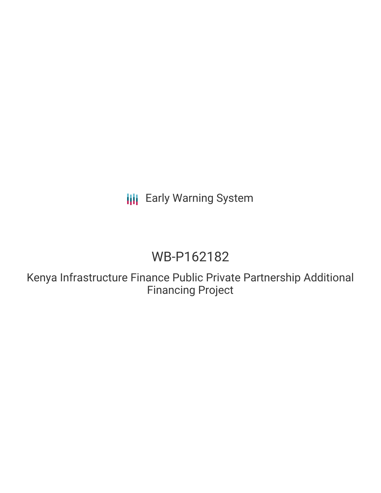**III** Early Warning System

# WB-P162182

Kenya Infrastructure Finance Public Private Partnership Additional Financing Project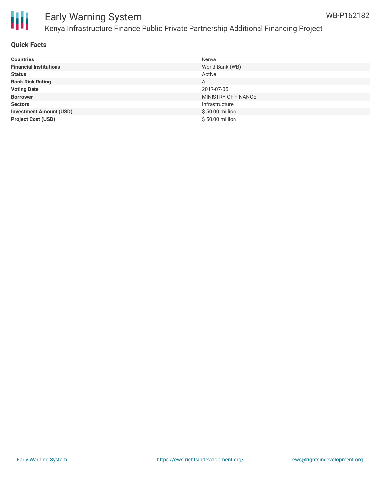

### Early Warning System Kenya Infrastructure Finance Public Private Partnership Additional Financing Project

#### **Quick Facts**

| <b>Countries</b>               | Kenya               |
|--------------------------------|---------------------|
| <b>Financial Institutions</b>  | World Bank (WB)     |
| <b>Status</b>                  | Active              |
| <b>Bank Risk Rating</b>        | A                   |
| <b>Voting Date</b>             | 2017-07-05          |
| <b>Borrower</b>                | MINISTRY OF FINANCE |
| <b>Sectors</b>                 | Infrastructure      |
| <b>Investment Amount (USD)</b> | \$50.00 million     |
| <b>Project Cost (USD)</b>      | \$50.00 million     |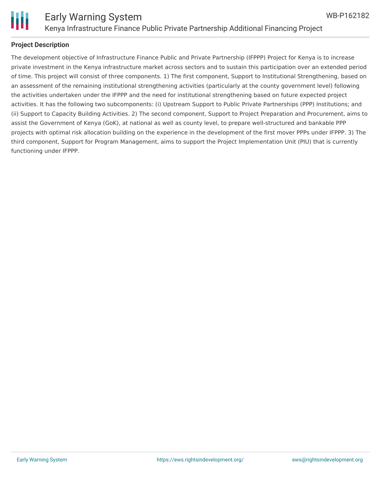

### **Project Description**

The development objective of Infrastructure Finance Public and Private Partnership (IFPPP) Project for Kenya is to increase private investment in the Kenya infrastructure market across sectors and to sustain this participation over an extended period of time. This project will consist of three components. 1) The first component, Support to Institutional Strengthening, based on an assessment of the remaining institutional strengthening activities (particularly at the county government level) following the activities undertaken under the IFPPP and the need for institutional strengthening based on future expected project activities. It has the following two subcomponents: (i) Upstream Support to Public Private Partnerships (PPP) Institutions; and (ii) Support to Capacity Building Activities. 2) The second component, Support to Project Preparation and Procurement, aims to assist the Government of Kenya (GoK), at national as well as county level, to prepare well-structured and bankable PPP projects with optimal risk allocation building on the experience in the development of the first mover PPPs under IFPPP. 3) The third component, Support for Program Management, aims to support the Project Implementation Unit (PIU) that is currently functioning under IFPPP.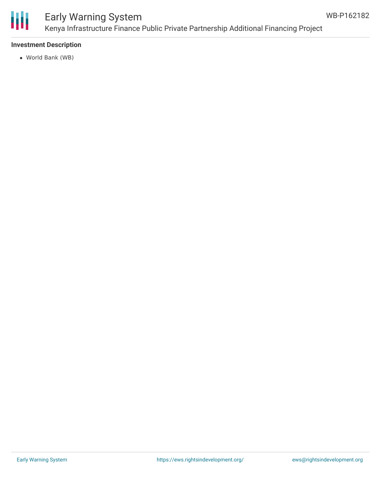

### Early Warning System Kenya Infrastructure Finance Public Private Partnership Additional Financing Project

### **Investment Description**

World Bank (WB)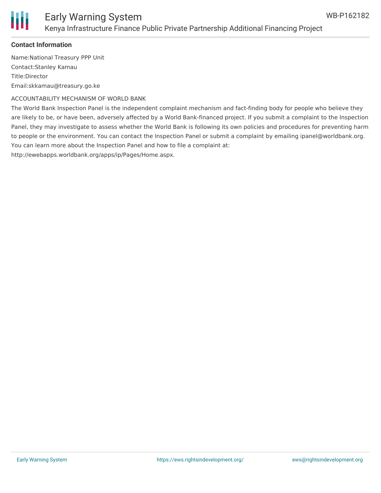

### **Contact Information**

Name:National Treasury PPP Unit Contact:Stanley Kamau Title:Director Email:skkamau@treasury.go.ke

ACCOUNTABILITY MECHANISM OF WORLD BANK

The World Bank Inspection Panel is the independent complaint mechanism and fact-finding body for people who believe they are likely to be, or have been, adversely affected by a World Bank-financed project. If you submit a complaint to the Inspection Panel, they may investigate to assess whether the World Bank is following its own policies and procedures for preventing harm to people or the environment. You can contact the Inspection Panel or submit a complaint by emailing ipanel@worldbank.org. You can learn more about the Inspection Panel and how to file a complaint at: http://ewebapps.worldbank.org/apps/ip/Pages/Home.aspx.